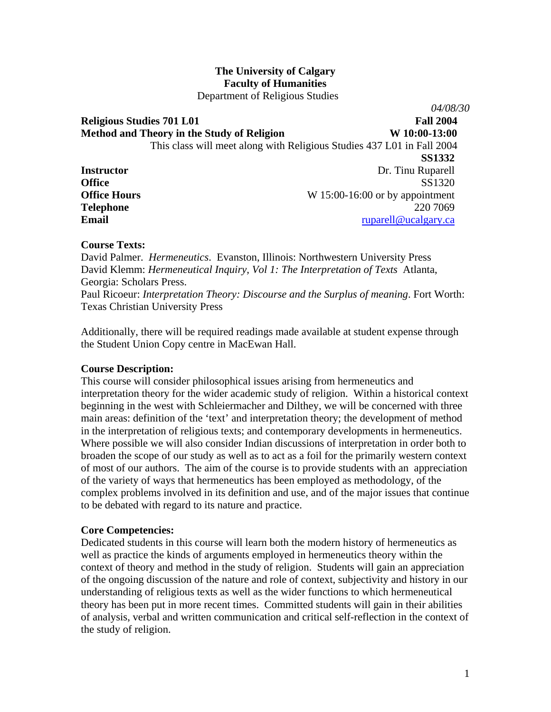# **The University of Calgary Faculty of Humanities**

Department of Religious Studies

**Religious Studies 701 L01** Fall 2004 Method and Theory in the Study of Religion W 10:00-13:00 This class will meet along with Religious Studies 437 L01 in Fall 2004 **SS1332 Instructor** Dr. Tinu Ruparell **Office** SS1320 **Office Hours** W 15:00-16:00 or by appointment **Telephone** 220 7069 **Email** [ruparell@ucalgary.ca](mailto:ruparell@ucalgary.ca)

### **Course Texts:**

David Palmer. *Hermeneutics*. Evanston, Illinois: Northwestern University Press David Klemm: *Hermeneutical Inquiry, Vol 1: The Interpretation of Texts* Atlanta, Georgia: Scholars Press.

Paul Ricoeur: *Interpretation Theory: Discourse and the Surplus of meaning*. Fort Worth: Texas Christian University Press

Additionally, there will be required readings made available at student expense through the Student Union Copy centre in MacEwan Hall.

### **Course Description:**

This course will consider philosophical issues arising from hermeneutics and interpretation theory for the wider academic study of religion. Within a historical context beginning in the west with Schleiermacher and Dilthey, we will be concerned with three main areas: definition of the 'text' and interpretation theory; the development of method in the interpretation of religious texts; and contemporary developments in hermeneutics. Where possible we will also consider Indian discussions of interpretation in order both to broaden the scope of our study as well as to act as a foil for the primarily western context of most of our authors. The aim of the course is to provide students with an appreciation of the variety of ways that hermeneutics has been employed as methodology, of the complex problems involved in its definition and use, and of the major issues that continue to be debated with regard to its nature and practice.

#### **Core Competencies:**

Dedicated students in this course will learn both the modern history of hermeneutics as well as practice the kinds of arguments employed in hermeneutics theory within the context of theory and method in the study of religion. Students will gain an appreciation of the ongoing discussion of the nature and role of context, subjectivity and history in our understanding of religious texts as well as the wider functions to which hermeneutical theory has been put in more recent times. Committed students will gain in their abilities of analysis, verbal and written communication and critical self-reflection in the context of the study of religion.

*04/08/30*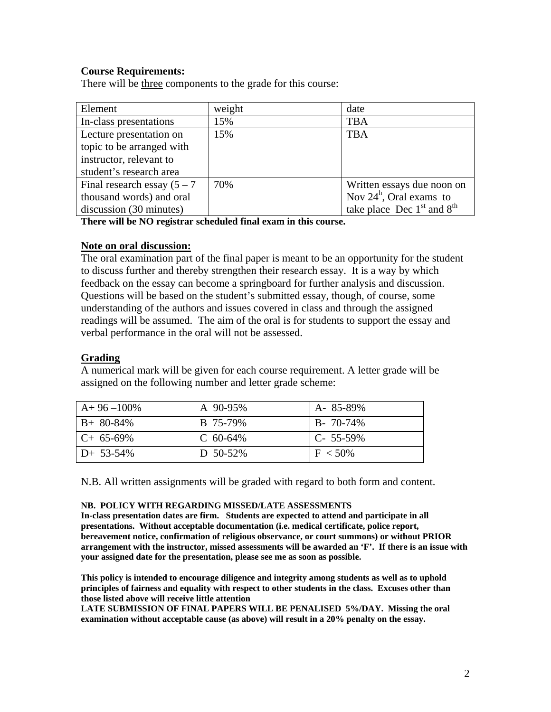# **Course Requirements:**

There will be three components to the grade for this course:

| Element                        | weight | date                           |
|--------------------------------|--------|--------------------------------|
| In-class presentations         | 15%    | <b>TBA</b>                     |
| Lecture presentation on        | 15%    | <b>TBA</b>                     |
| topic to be arranged with      |        |                                |
| instructor, relevant to        |        |                                |
| student's research area        |        |                                |
| Final research essay $(5 – 7)$ | 70%    | Written essays due noon on     |
| thousand words) and oral       |        | Nov $24^h$ , Oral exams to     |
| discussion (30 minutes)        |        | take place Dec $1st$ and $8th$ |

**There will be NO registrar scheduled final exam in this course.** 

### **Note on oral discussion:**

The oral examination part of the final paper is meant to be an opportunity for the student to discuss further and thereby strengthen their research essay. It is a way by which feedback on the essay can become a springboard for further analysis and discussion. Questions will be based on the student's submitted essay, though, of course, some understanding of the authors and issues covered in class and through the assigned readings will be assumed. The aim of the oral is for students to support the essay and verbal performance in the oral will not be assessed.

### **Grading**

A numerical mark will be given for each course requirement. A letter grade will be assigned on the following number and letter grade scheme:

| $A+96-100\%$ | A 90-95%    | A-85-89%        |
|--------------|-------------|-----------------|
| $B+80-84\%$  | B 75-79%    | $B - 70 - 74\%$ |
| $C+65-69\%$  | C $60-64\%$ | $C-55-59\%$     |
| $D+ 53-54\%$ | D $50-52\%$ | $F < 50\%$      |

N.B. All written assignments will be graded with regard to both form and content.

#### **NB. POLICY WITH REGARDING MISSED/LATE ASSESSMENTS**

**In-class presentation dates are firm. Students are expected to attend and participate in all presentations. Without acceptable documentation (i.e. medical certificate, police report, bereavement notice, confirmation of religious observance, or court summons) or without PRIOR arrangement with the instructor, missed assessments will be awarded an 'F'. If there is an issue with your assigned date for the presentation, please see me as soon as possible.** 

**This policy is intended to encourage diligence and integrity among students as well as to uphold principles of fairness and equality with respect to other students in the class. Excuses other than those listed above will receive little attention**

**LATE SUBMISSION OF FINAL PAPERS WILL BE PENALISED 5%/DAY. Missing the oral examination without acceptable cause (as above) will result in a 20% penalty on the essay.**